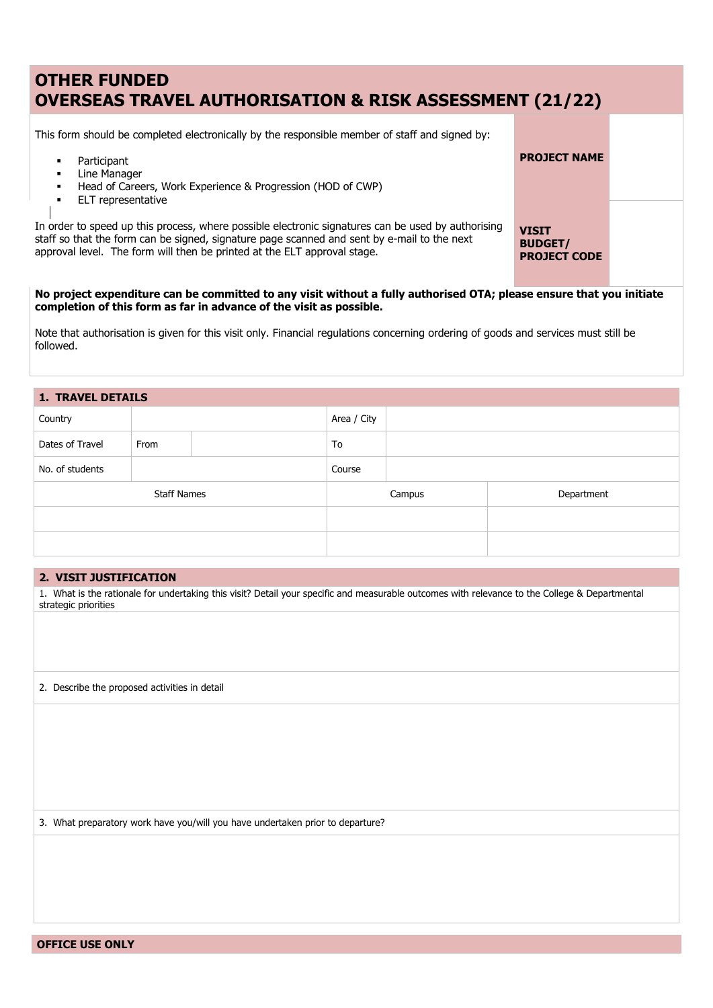# **OTHER FUNDED OVERSEAS TRAVEL AUTHORISATION & RISK ASSESSMENT (21/22)**

This form should be completed electronically by the responsible member of staff and signed by:

- Participant
- **-** Line Manager
- Head of Careers, Work Experience & Progression (HOD of CWP)
- **ELT** representative

In order to speed up this process, where possible electronic signatures can be used by authorising staff so that the form can be signed, signature page scanned and sent by e-mail to the next approval level. The form will then be printed at the ELT approval stage.

**VISIT BUDGET/ PROJECT CODE**

**PROJECT NAME**

### **No project expenditure can be committed to any visit without a fully authorised OTA; please ensure that you initiate completion of this form as far in advance of the visit as possible.**

Note that authorisation is given for this visit only. Financial regulations concerning ordering of goods and services must still be followed.

# **1. TRAVEL DETAILS**

| Country            |      |  | Area / City |  |            |  |  |
|--------------------|------|--|-------------|--|------------|--|--|
| Dates of Travel    | From |  | To          |  |            |  |  |
| No. of students    |      |  | Course      |  |            |  |  |
| <b>Staff Names</b> |      |  | Campus      |  | Department |  |  |
|                    |      |  |             |  |            |  |  |
|                    |      |  |             |  |            |  |  |

#### **2. VISIT JUSTIFICATION**

1. What is the rationale for undertaking this visit? Detail your specific and measurable outcomes with relevance to the College & Departmental strategic priorities

2. Describe the proposed activities in detail

3. What preparatory work have you/will you have undertaken prior to departure?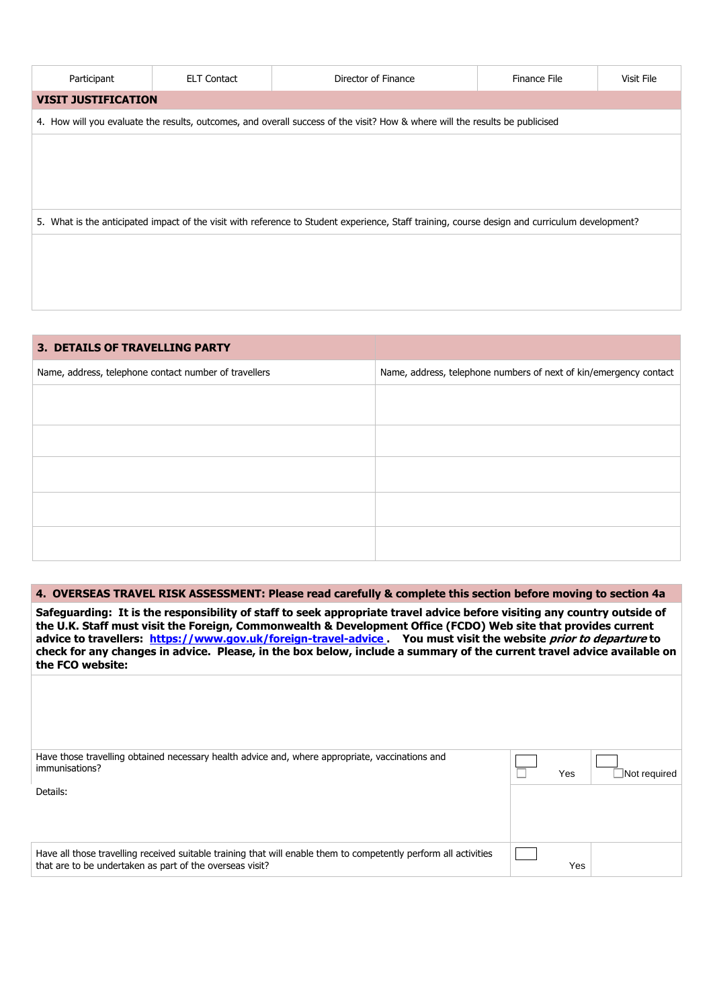| Participant | <b>ELT Contact</b>                                                                                                                             | Director of Finance                                                                                                          | Finance File | Visit File |  |  |
|-------------|------------------------------------------------------------------------------------------------------------------------------------------------|------------------------------------------------------------------------------------------------------------------------------|--------------|------------|--|--|
|             | <b>VISIT JUSTIFICATION</b>                                                                                                                     |                                                                                                                              |              |            |  |  |
|             |                                                                                                                                                | 4. How will you evaluate the results, outcomes, and overall success of the visit? How & where will the results be publicised |              |            |  |  |
|             |                                                                                                                                                |                                                                                                                              |              |            |  |  |
|             |                                                                                                                                                |                                                                                                                              |              |            |  |  |
|             |                                                                                                                                                |                                                                                                                              |              |            |  |  |
|             | 5. What is the anticipated impact of the visit with reference to Student experience, Staff training, course design and curriculum development? |                                                                                                                              |              |            |  |  |
|             |                                                                                                                                                |                                                                                                                              |              |            |  |  |
|             |                                                                                                                                                |                                                                                                                              |              |            |  |  |
|             |                                                                                                                                                |                                                                                                                              |              |            |  |  |

| <b>3. DETAILS OF TRAVELLING PARTY</b>                 |                                                                   |
|-------------------------------------------------------|-------------------------------------------------------------------|
| Name, address, telephone contact number of travellers | Name, address, telephone numbers of next of kin/emergency contact |
|                                                       |                                                                   |
|                                                       |                                                                   |
|                                                       |                                                                   |
|                                                       |                                                                   |
|                                                       |                                                                   |
|                                                       |                                                                   |
|                                                       |                                                                   |
|                                                       |                                                                   |

## **4. OVERSEAS TRAVEL RISK ASSESSMENT: Please read carefully & complete this section before moving to section 4a**

**Safeguarding: It is the responsibility of staff to seek appropriate travel advice before visiting any country outside of the U.K. Staff must visit the Foreign, Commonwealth & Development Office (FCDO) Web site that provides current advice to travellers: <https://www.gov.uk/foreign-travel-advice> . You must visit the website prior to departure to check for any changes in advice. Please, in the box below, include a summary of the current travel advice available on the FCO website:**

| Have those travelling obtained necessary health advice and, where appropriate, vaccinations and<br>immunisations?                                                            | Yes | Not required |
|------------------------------------------------------------------------------------------------------------------------------------------------------------------------------|-----|--------------|
| Details:                                                                                                                                                                     |     |              |
| Have all those travelling received suitable training that will enable them to competently perform all activities<br>that are to be undertaken as part of the overseas visit? | Yes |              |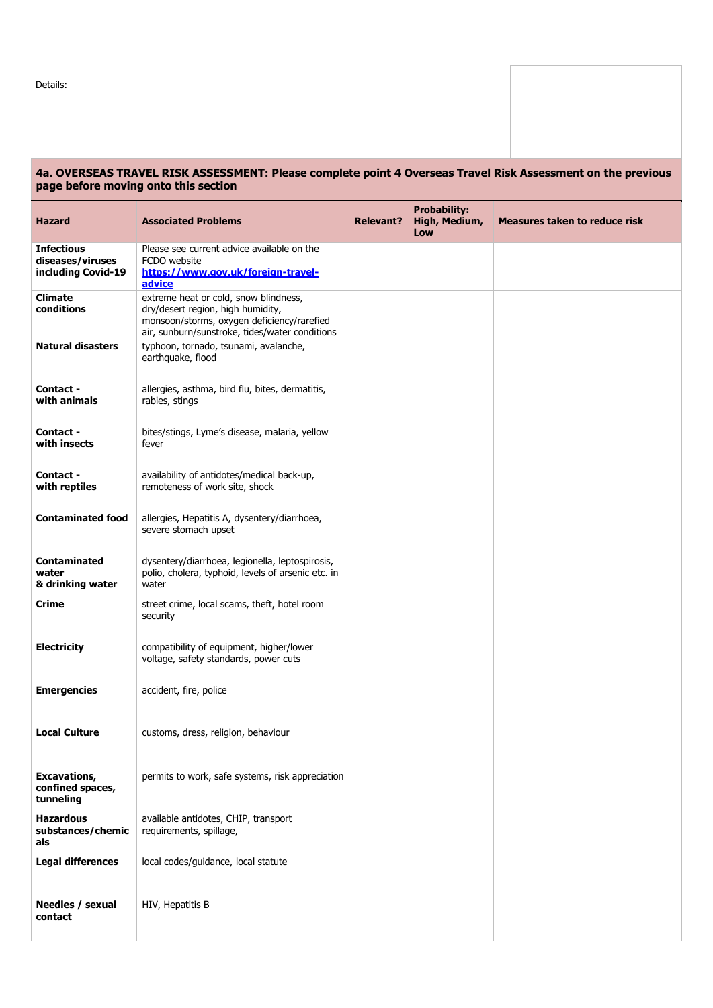Details:

## **4a. OVERSEAS TRAVEL RISK ASSESSMENT: Please complete point 4 Overseas Travel Risk Assessment on the previous page before moving onto this section**

| Hazard                                                      | <b>Associated Problems</b>                                                                                                                                                 | <b>Relevant?</b> | <b>Probability:</b><br>High, Medium,<br>Low | <b>Measures taken to reduce risk</b> |
|-------------------------------------------------------------|----------------------------------------------------------------------------------------------------------------------------------------------------------------------------|------------------|---------------------------------------------|--------------------------------------|
| <b>Infectious</b><br>diseases/viruses<br>including Covid-19 | Please see current advice available on the<br>FCDO website<br>https://www.gov.uk/foreign-travel-<br>advice                                                                 |                  |                                             |                                      |
| <b>Climate</b><br>conditions                                | extreme heat or cold, snow blindness,<br>dry/desert region, high humidity,<br>monsoon/storms, oxygen deficiency/rarefied<br>air, sunburn/sunstroke, tides/water conditions |                  |                                             |                                      |
| <b>Natural disasters</b>                                    | typhoon, tornado, tsunami, avalanche,<br>earthquake, flood                                                                                                                 |                  |                                             |                                      |
| <b>Contact -</b><br>with animals                            | allergies, asthma, bird flu, bites, dermatitis,<br>rabies, stings                                                                                                          |                  |                                             |                                      |
| <b>Contact -</b><br>with insects                            | bites/stings, Lyme's disease, malaria, yellow<br>fever                                                                                                                     |                  |                                             |                                      |
| <b>Contact -</b><br>with reptiles                           | availability of antidotes/medical back-up,<br>remoteness of work site, shock                                                                                               |                  |                                             |                                      |
| <b>Contaminated food</b>                                    | allergies, Hepatitis A, dysentery/diarrhoea,<br>severe stomach upset                                                                                                       |                  |                                             |                                      |
| Contaminated<br>water<br>& drinking water                   | dysentery/diarrhoea, legionella, leptospirosis,<br>polio, cholera, typhoid, levels of arsenic etc. in<br>water                                                             |                  |                                             |                                      |
| Crime                                                       | street crime, local scams, theft, hotel room<br>security                                                                                                                   |                  |                                             |                                      |
| <b>Electricity</b>                                          | compatibility of equipment, higher/lower<br>voltage, safety standards, power cuts                                                                                          |                  |                                             |                                      |
| <b>Emergencies</b>                                          | accident, fire, police                                                                                                                                                     |                  |                                             |                                      |
| <b>Local Culture</b>                                        | customs, dress, religion, behaviour                                                                                                                                        |                  |                                             |                                      |
| <b>Excavations,</b><br>confined spaces,<br>tunneling        | permits to work, safe systems, risk appreciation                                                                                                                           |                  |                                             |                                      |
| <b>Hazardous</b><br>substances/chemic<br>als                | available antidotes, CHIP, transport<br>requirements, spillage,                                                                                                            |                  |                                             |                                      |
| <b>Legal differences</b>                                    | local codes/guidance, local statute                                                                                                                                        |                  |                                             |                                      |
| Needles / sexual<br>contact                                 | HIV, Hepatitis B                                                                                                                                                           |                  |                                             |                                      |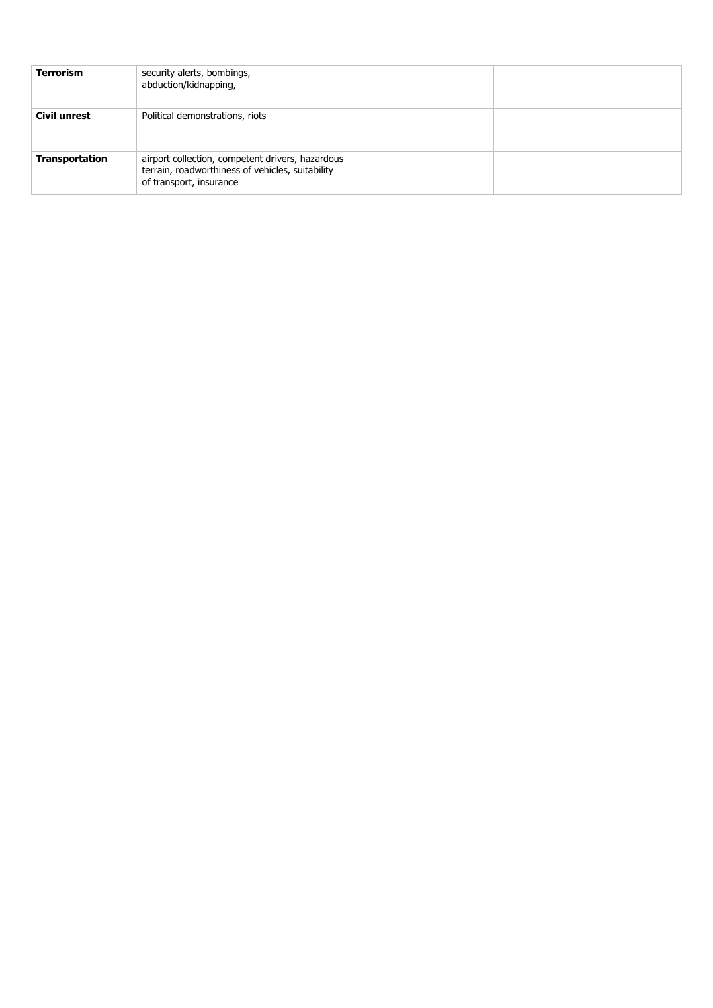| <b>Terrorism</b>      | security alerts, bombings,<br>abduction/kidnapping,                                                                             |  |  |
|-----------------------|---------------------------------------------------------------------------------------------------------------------------------|--|--|
| Civil unrest          | Political demonstrations, riots                                                                                                 |  |  |
| <b>Transportation</b> | airport collection, competent drivers, hazardous<br>terrain, roadworthiness of vehicles, suitability<br>of transport, insurance |  |  |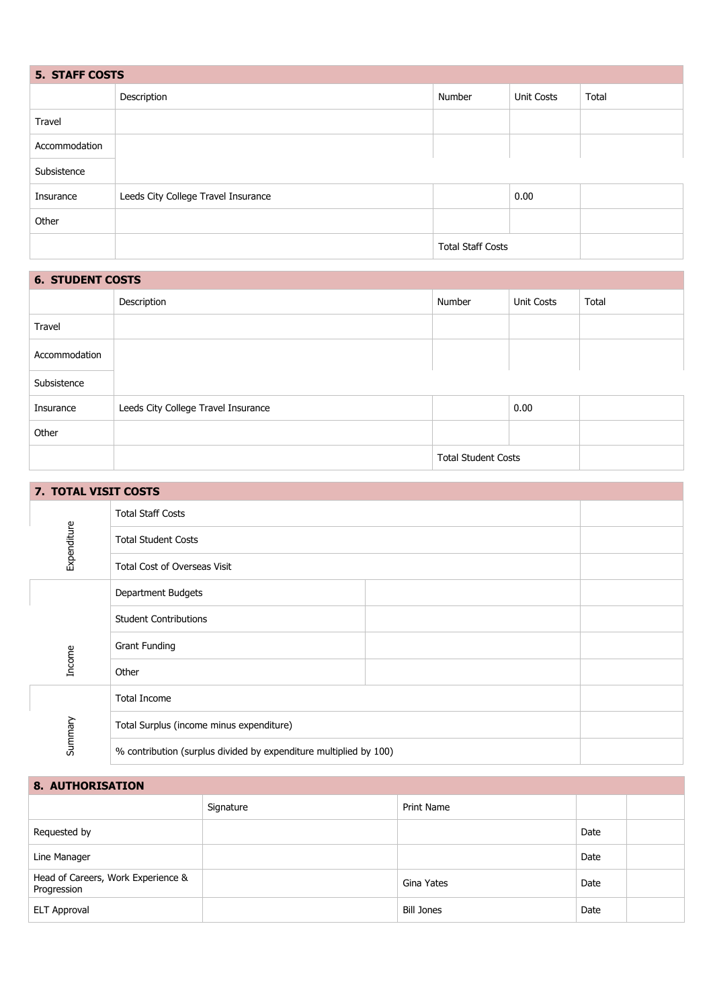| <b>5. STAFF COSTS</b> |                                     |                          |                   |       |  |
|-----------------------|-------------------------------------|--------------------------|-------------------|-------|--|
|                       | Description                         | Number                   | <b>Unit Costs</b> | Total |  |
| Travel                |                                     |                          |                   |       |  |
| Accommodation         |                                     |                          |                   |       |  |
| Subsistence           |                                     |                          |                   |       |  |
| Insurance             | Leeds City College Travel Insurance |                          | 0.00              |       |  |
| Other                 |                                     |                          |                   |       |  |
|                       |                                     | <b>Total Staff Costs</b> |                   |       |  |

| <b>6. STUDENT COSTS</b> |                                     |        |            |       |  |
|-------------------------|-------------------------------------|--------|------------|-------|--|
|                         | Description                         | Number | Unit Costs | Total |  |
| Travel                  |                                     |        |            |       |  |
| Accommodation           |                                     |        |            |       |  |
| Subsistence             |                                     |        |            |       |  |
| Insurance               | Leeds City College Travel Insurance |        | 0.00       |       |  |
| Other                   |                                     |        |            |       |  |

Total Student Costs

| 7. TOTAL VISIT COSTS |                                                                   |  |
|----------------------|-------------------------------------------------------------------|--|
|                      | <b>Total Staff Costs</b>                                          |  |
| Expenditure          | <b>Total Student Costs</b>                                        |  |
|                      | Total Cost of Overseas Visit                                      |  |
|                      | Department Budgets                                                |  |
|                      | <b>Student Contributions</b>                                      |  |
|                      | <b>Grant Funding</b>                                              |  |
| Income               | Other                                                             |  |
|                      | <b>Total Income</b>                                               |  |
|                      | Total Surplus (income minus expenditure)                          |  |
| Summary              | % contribution (surplus divided by expenditure multiplied by 100) |  |

**8. AUTHORISATION**

|                                                   | Signature | <b>Print Name</b> |      |  |
|---------------------------------------------------|-----------|-------------------|------|--|
| Requested by                                      |           |                   | Date |  |
| Line Manager                                      |           |                   | Date |  |
| Head of Careers, Work Experience &<br>Progression |           | Gina Yates        | Date |  |
| <b>ELT Approval</b>                               |           | <b>Bill Jones</b> | Date |  |